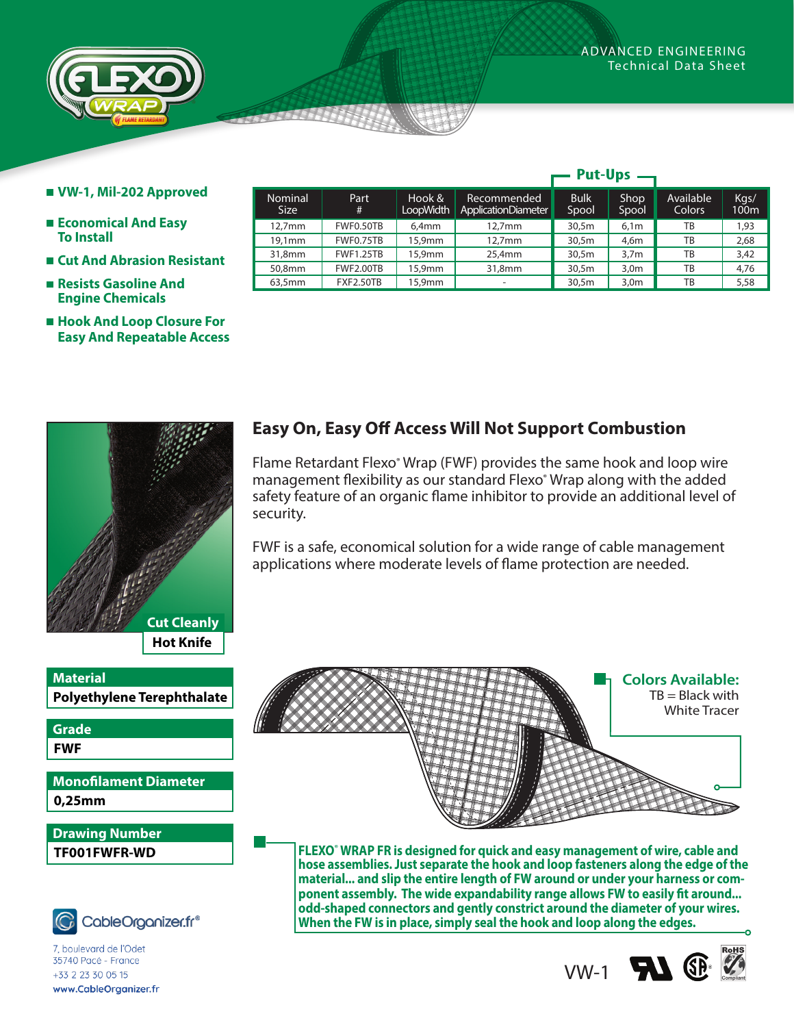**Put-Ups**



- **VW-1, Mil-202 Approved**
- **Economical And Easy To Install**
- **Cut And Abrasion Resistant**
- **Resists Gasoline And Engine Chemicals**
- **Hook And Loop Closure For Easy And Repeatable Access**

| <b>Cut Cleanly</b> |
|--------------------|
| <b>Hot Knife</b>   |
|                    |

**Polyethylene Terephthalate Material**

**FWF Grade**

**0,25mm Monofilament Diameter**

**TF001FWFR-WD Drawing Number**



*www.techflex.com* 35740 Pacé - France +33 2 23 30 05 15 www.CableOrganizer.fr

|                        |                  |                     |                                           | rut-vps              |                  |                     |                          |
|------------------------|------------------|---------------------|-------------------------------------------|----------------------|------------------|---------------------|--------------------------|
| Nominal<br><b>Size</b> | Part<br>#        | Hook &<br>LoopWidth | Recommended<br><b>ApplicationDiameter</b> | <b>Bulk</b><br>Spool | Shop<br>Spool    | Available<br>Colors | Kgs/<br>100 <sub>m</sub> |
| 12.7 <sub>mm</sub>     | FWF0.50TB        | 6.4 <sub>mm</sub>   | $12.7$ mm                                 | 30,5m                | 6.1 <sub>m</sub> | ТB                  | 1,93                     |
| 19.1mm                 | FWF0.75TB        | 15,9mm              | $12.7$ mm                                 | 30,5m                | 4.6 <sub>m</sub> | ТB                  | 2.68                     |
| 31,8mm                 | <b>FWF1.25TB</b> | 15,9mm              | 25.4mm                                    | 30,5m                | 3,7m             | TB                  | 3.42                     |
| 50,8mm                 | <b>FWF2.00TB</b> | 15,9mm              | 31,8mm                                    | 30,5m                | 3,0m             | ТB                  | 4.76                     |
| 63,5mm                 | <b>FXF2.50TB</b> | 15,9mm              | -                                         | 30,5m                | 3,0m             | ТB                  | 5,58                     |

## **Easy On, Easy Off Access Will Not Support Combustion**

Flame Retardant Flexo<sup>®</sup> Wrap (FWF) provides the same hook and loop wire management flexibility as our standard Flexo® Wrap along with the added safety feature of an organic flame inhibitor to provide an additional level of security.

FWF is a safe, economical solution for a wide range of cable management applications where moderate levels of flame protection are needed.



**FLEXO**®  **WRAP FR is designed for quick and easy management of wire, cable and hose assemblies. Just separate the hook and loop fasteners along the edge of the material... and slip the entire length of FW around or under your harness or component assembly. The wide expandability range allows FW to easily fit around... odd-shaped connectors and gently constrict around the diameter of your wires. When the FW is in place, simply seal the hook and loop along the edges.**